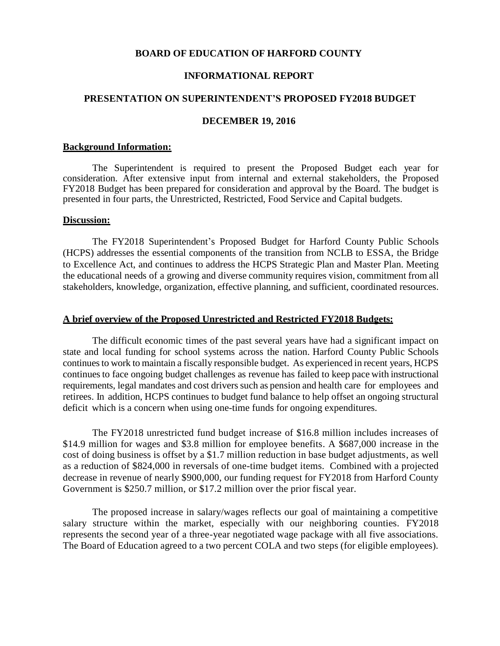# **BOARD OF EDUCATION OF HARFORD COUNTY**

# **INFORMATIONAL REPORT**

## **PRESENTATION ON SUPERINTENDENT'S PROPOSED FY2018 BUDGET**

# **DECEMBER 19, 2016**

#### **Background Information:**

The Superintendent is required to present the Proposed Budget each year for consideration. After extensive input from internal and external stakeholders, the Proposed FY2018 Budget has been prepared for consideration and approval by the Board. The budget is presented in four parts, the Unrestricted, Restricted, Food Service and Capital budgets.

### **Discussion:**

The FY2018 Superintendent's Proposed Budget for Harford County Public Schools (HCPS) addresses the essential components of the transition from NCLB to ESSA, the Bridge to Excellence Act, and continues to address the HCPS Strategic Plan and Master Plan. Meeting the educational needs of a growing and diverse community requires vision, commitment from all stakeholders, knowledge, organization, effective planning, and sufficient, coordinated resources.

#### **A brief overview of the Proposed Unrestricted and Restricted FY2018 Budgets:**

The difficult economic times of the past several years have had a significant impact on state and local funding for school systems across the nation. Harford County Public Schools continues to work to maintain a fiscally responsible budget. As experienced in recent years, HCPS continues to face ongoing budget challenges as revenue has failed to keep pace with instructional requirements, legal mandates and cost drivers such as pension and health care for employees and retirees. In addition, HCPS continues to budget fund balance to help offset an ongoing structural deficit which is a concern when using one-time funds for ongoing expenditures.

The FY2018 unrestricted fund budget increase of \$16.8 million includes increases of \$14.9 million for wages and \$3.8 million for employee benefits. A \$687,000 increase in the cost of doing business is offset by a \$1.7 million reduction in base budget adjustments, as well as a reduction of \$824,000 in reversals of one-time budget items. Combined with a projected decrease in revenue of nearly \$900,000, our funding request for FY2018 from Harford County Government is \$250.7 million, or \$17.2 million over the prior fiscal year.

The proposed increase in salary/wages reflects our goal of maintaining a competitive salary structure within the market, especially with our neighboring counties. FY2018 represents the second year of a three-year negotiated wage package with all five associations. The Board of Education agreed to a two percent COLA and two steps (for eligible employees).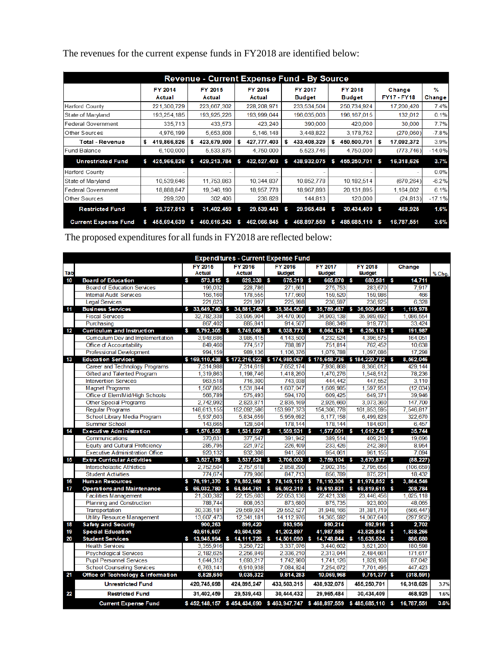| <b>Revenue - Current Expense Fund - By Source</b> |    |                   |   |                   |   |                   |          |                                 |   |                          |    |                              |                                |
|---------------------------------------------------|----|-------------------|---|-------------------|---|-------------------|----------|---------------------------------|---|--------------------------|----|------------------------------|--------------------------------|
|                                                   |    | FY 2014<br>Actual |   | FY 2015<br>Actual |   | FY 2016<br>Actual |          | <b>FY 2017</b><br><b>Budget</b> |   | FY 2018<br><b>Budget</b> |    | Change<br><b>FY17 - FY18</b> | $\frac{9}{6}$<br><b>Change</b> |
| <b>Harford County</b>                             |    | 221,300,729       |   | 223,667,302       |   | 228, 208, 971     |          | 233,534,504                     |   | 250,734,924              |    | 17,200,420                   | 7.4%                           |
| State of Maryland                                 |    | 193,254,185       |   | 193,925,226       |   | 193,999,044       |          | 196,035,003                     |   | 196,167,015              |    | 132,012                      | 0.1%                           |
| <b>Federal Government</b>                         |    | 335,713           |   | 433,573           |   | 423,240           |          | 390,000                         |   | 420,000                  |    | 30,000                       | 7.7%                           |
| Other Sources                                     |    | 4,976,199         |   | 5,653,808         |   | 5,146,148         |          | 3,448,822                       |   | 3,178,762                |    | (270.060)                    | $-7.8%$                        |
| Total - Revenue                                   | s  | 419,866,826       | s | 423,679,909       | s | 427,777,403       | s        | 433,408,329                     | s | 450,500,701              | s  | 17,092,372                   | 3.9%                           |
| Fund Balance                                      |    | 6,100,000         |   | 5,533,875         |   | 4,750,000         |          | 5,523,746                       |   | 4,750,000                |    | (773.746)                    | $-14.0%$                       |
| <b>Unrestricted Fund</b>                          | s. | 425,966,826       | s | 429,213,784       | s | 432,527,403       | s        | 438,932,075                     | s | 455,250,701              | s  | 16,318,626                   | 3.7%                           |
| <b>Harford County</b>                             |    |                   |   |                   |   |                   |          |                                 |   |                          |    |                              | 0.0%                           |
| State of Maryland                                 |    | 10,539,646        |   | 11,753,863        |   | 10,344,837        |          | 10,852,778                      |   | 10,182,514               |    | (670, 264)                   | $-6.2%$                        |
| <b>Federal Government</b>                         |    | 18,888,847        |   | 19,346,190        |   | 18,957,778        |          | 18,967,893                      |   | 20,131,895               |    | 1,164,002                    | 6.1%                           |
| Other Sources                                     |    | 299,320           |   | 302,406           |   | 236,828           |          | 144,813                         |   | 120,000                  |    | (24, 813)                    | $-17.1%$                       |
| <b>Restricted Fund</b>                            | s  | 29,727,813 \$     |   | 31,402,459        | S | 29,539,443        | <b>S</b> | 29,965,484                      | s | 30,434,409               |    | 468,925                      | 1.6%                           |
| <b>Current Expense Fund</b>                       |    | 455,694,639       | s | 460,616,243       | s | 462,066,845       | s        | 468,897,559                     | s | 485,685,110              | -S | 16,787,551                   | 3.6%                           |

The revenues for the current expense funds in FY2018 are identified below:

The proposed expenditures for all fundsin FY2018 are reflected below:

|     | <b>Expenditures - Current Expense Fund</b> |                   |                                                                          |                        |                  |                             |          |            |        |  |  |  |  |  |
|-----|--------------------------------------------|-------------------|--------------------------------------------------------------------------|------------------------|------------------|-----------------------------|----------|------------|--------|--|--|--|--|--|
|     |                                            | <b>FY 2015</b>    | <b>FY 2016</b>                                                           | <b>FY 2016</b>         | <b>FY 2017</b>   | <b>FY 2018</b>              |          | Change     |        |  |  |  |  |  |
| Tab |                                            | <b>Actual</b>     | <b>Actual</b>                                                            | <b>Budget</b>          | <b>Budget</b>    | <b>Budget</b>               |          |            | % Chq. |  |  |  |  |  |
| 10  | <b>Board of Education</b>                  | S<br>573,815 \$   | 629,338 \$                                                               | 675,319 \$             | 665,870 \$       | 680,581 \$                  |          | 14,711     |        |  |  |  |  |  |
|     | <b>Board of Education Services</b>         | 196.032           | 228,786                                                                  | 271.661                | 275,753          | 283.670                     |          | 7,917      |        |  |  |  |  |  |
|     | <b>Internal Audit Services</b>             | 156,160           | 178,555                                                                  | 177,660                | 159,520          | 159.986                     |          | 466        |        |  |  |  |  |  |
|     | Legal Services                             | 221.623           | 221,997                                                                  | 225.998                | 230.597          | 236.925                     |          | 6.328      |        |  |  |  |  |  |
| 11  | <b>Business Services</b>                   |                   | $$33,649,740$ $$34,881,745$ \$                                           | 35,384,567 \$          | 35,789,487       | <b>S</b><br>36,909,465 \$   |          | 1,119,978  |        |  |  |  |  |  |
|     | <b>Fiscal Services</b>                     | 32,782,338        | 33,995.904                                                               | 34,470,060             | 34,903,138       | 35.989.692                  |          | 1,086,554  |        |  |  |  |  |  |
|     | Purchasing                                 | 867.402           | 885.841                                                                  | 914.507                | 886, 349         | 919.773                     |          | 33.424     |        |  |  |  |  |  |
| 12  | Curriculum and Instruction                 | 5,792,305<br>Ŝ    | 5,749,068 \$<br><b>S</b>                                                 | 6,038,773 \$           | 6,064,126 \$     | 6,256,113 \$                |          | 191,987    |        |  |  |  |  |  |
|     | Curriculum Dev and Implementation          | 3,948,686         | 3,985,415                                                                | 4,143,500              | 4,232,524        | 4,396,575                   |          | 164,051    |        |  |  |  |  |  |
|     | Office of Accountability                   | 849,460           | 774,517                                                                  | 788,897                | 751.814          | 762.452                     |          | 10.638     |        |  |  |  |  |  |
|     | <b>Professional Development</b>            | 994.159           | 989.136                                                                  | 1,106,376              | 1.079.788        | 1.097.086                   |          | 17,298     |        |  |  |  |  |  |
| 13  | <b>Education Services</b>                  |                   | \$169,110,438 \$172,216,622 \$174,985,067 \$175,658,736 \$184,220,782 \$ |                        |                  |                             |          | 8,562,046  |        |  |  |  |  |  |
|     | Career and Technology Programs             | 7,314,988         | 7.314.619                                                                | 7,652,174              | 7,936,868        | 8.366.012                   |          | 429.144    |        |  |  |  |  |  |
|     | Gifted and Talented Program                | 1,319,863         | 1,198,746                                                                | 1,418,260              | 1.470.276        | 1,548,512                   |          | 78,236     |        |  |  |  |  |  |
|     | <b>Intervention Services</b>               | 963,518           | 716,300                                                                  | 743,038                | 444,442          | 447,552                     |          | 3,110      |        |  |  |  |  |  |
|     | <b>Magnet Programs</b>                     | 1,507,865         | 1,531,844                                                                | 1,607,047              | 1,609,985        | 1,597,951                   |          | (12.034)   |        |  |  |  |  |  |
|     | Office of Elem/Mid/High Schools            | 566.789           | 575.493                                                                  | 594.170                | 609.425          | 649.371                     |          | 39.946     |        |  |  |  |  |  |
|     | <b>Other Special Programs</b>              | 2.742.992         | 2,823,871                                                                | 2,835,169              | 2,925,660        | 3,073,360                   |          | 147,700    |        |  |  |  |  |  |
|     | <b>Regular Programs</b>                    | 148,613,155       | 152,092,586                                                              | 153,997,373            | 154,306,778      | 161,853,595                 |          | 7,546,817  |        |  |  |  |  |  |
|     | School Library Media Program               | 5.937.603         | 5.834.659                                                                | 5.959.692              | 6.177.158        | 6.499.828                   |          | 322.670    |        |  |  |  |  |  |
|     | Summer School                              | 143.665           | 128.504                                                                  | 178.144                | 178.144          | 184.601                     |          | 6.457      |        |  |  |  |  |  |
| 14  | <b>Executive Administration</b>            | 1,576,558 \$<br>s | 1,531,827 \$                                                             | 1,559,931 \$           | 1,577,001 \$     | 1,612,745 \$                |          | 35.744     |        |  |  |  |  |  |
|     | Communications                             | 370,631           | 377,547                                                                  | 391.942                | 389,514          | 409.210                     |          | 19,696     |        |  |  |  |  |  |
|     | <b>Equity and Cultural Proficiency</b>     | 285,795           | 221.972                                                                  | 226.409                | 233.426          | 242.380                     |          | 8.954      |        |  |  |  |  |  |
|     | <b>Executive Administration Office</b>     | 920,132           | 932,308                                                                  | 941.580                | 954,061          | 961, 155                    |          | 7,094      |        |  |  |  |  |  |
| 15  | <b>Extra Curricular Activities</b>         | 3,527,178 \$<br>s | $3,537,524$ \$                                                           | $3,706,003$ \$         | 3.759.104 \$     | 3,670,877 \$                |          | (88.227)   |        |  |  |  |  |  |
|     | Interscholastic Athletics                  | 2.752.504         | 2,757,618                                                                | 2,858,290              | 2,902,315        | 2.795,656                   |          | (106, 659) |        |  |  |  |  |  |
|     | <b>Student Activities</b>                  | 774.674           | 779.906                                                                  | 847.713                | 856.789          | 875.221                     |          | 18.432     |        |  |  |  |  |  |
| 16  | <b>Human Resources</b>                     | 76, 191, 370      | 76,852,968<br><b>S</b>                                                   | 78, 149, 110<br>s      | 78,110,306<br>-S | $$81,974,852$ \$            |          | 3,864,546  |        |  |  |  |  |  |
| 17  | <b>Operations and Maintenance</b>          | 66,032,780<br>S   | \$64,844,761                                                             | <b>S</b><br>66,592,319 | $\mathbf{s}$     | 69.610.831 \$ 69.819.615 \$ |          | 208,784    |        |  |  |  |  |  |
|     | <b>Facilities Management</b>               | 21.300.382        | 22,125,603                                                               | 22,053,136             | 22,421,338       | 23,446,456                  |          | 1,025,118  |        |  |  |  |  |  |
|     | <b>Planning and Construction</b>           | 788.744           | 808,053                                                                  | 873,680                | 875,735          | 923,800                     |          | 48.065     |        |  |  |  |  |  |
|     | Transportation                             | 30,336,181        | 29,569,924                                                               | 29,552,527             | 31,948,166       | 31,381,719                  |          | (566, 447) |        |  |  |  |  |  |
|     | Utility Resource Management                | 13,607,473        | 12,341,181                                                               | 14.112.976             | 14,365,592       | 14,067,640                  |          | (297.952)  |        |  |  |  |  |  |
| 18  | <b>Safety and Security</b>                 | 900,263           | 899,420                                                                  | 893,956                | 890,214          | 892,916                     | -S       | 2,702      |        |  |  |  |  |  |
| 19  | <b>Special Education</b>                   | 40,616,607        | 40,604,926                                                               | 41, 202, 897           | 41,987,588       | 43,825,854                  | <b>S</b> | 1,838,266  |        |  |  |  |  |  |
| 20  | <b>Student Services</b>                    | $$13.945.994$ \$  | 14, 111, 726 \$                                                          | 14,501,090 \$          | 14.748.844       | 15,635,524 \$<br><b>S</b>   |          | 886,680    |        |  |  |  |  |  |
|     | <b>Health Services</b>                     | 3,355,916         | 3,250,722                                                                | 3,337,076              | 3,440,602        | 3,621,200                   |          | 180,598    |        |  |  |  |  |  |
|     | <b>Psychological Services</b>              | 2,182,625         | 2,256,849                                                                | 2,336,210              | 2,313,044        | 2,484,661                   |          | 171,617    |        |  |  |  |  |  |
|     | <b>Pupil Personnel Services</b>            | 1,644,312         | 1,693,217                                                                | 1,742,980              | 1,741,126        | 1,828,168                   |          | 87,042     |        |  |  |  |  |  |
|     | <b>School Counseling Services</b>          | 6.763.141         | 6,910,938                                                                | 7.084.824              | 7.254.072        | 7.701.495                   |          | 447.423    |        |  |  |  |  |  |
| 21  | Office of Technology & Information         | 8,828,650         | 9,035,322                                                                | 9,814,283              | 10,069,968       | 9,751,377 \$                |          | (318, 591) |        |  |  |  |  |  |
|     | <b>Unrestricted Fund</b>                   | 420,745,698       | 424,895,247                                                              | 433, 503, 315          | 438,932,075      | 455,250,701                 |          | 16,318,626 | 3.7%   |  |  |  |  |  |
| 22  | <b>Restricted Fund</b>                     | 31,402,459        | 29, 539, 443                                                             | 30,444,432             | 29,965,484       | 30,434,409                  |          | 468,925    | 1.6%   |  |  |  |  |  |
|     | <b>Current Expense Fund</b>                |                   | \$452,148,157 \$454,434,690 \$463,947,747 \$468,897,559 \$485,685,110 \$ |                        |                  |                             |          | 16,787,551 | 3.6%   |  |  |  |  |  |